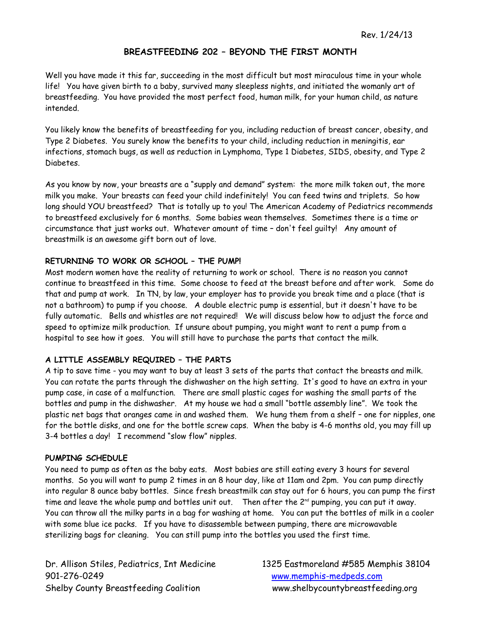## **BREASTFEEDING 202 – BEYOND THE FIRST MONTH**

Well you have made it this far, succeeding in the most difficult but most miraculous time in your whole life! You have given birth to a baby, survived many sleepless nights, and initiated the womanly art of breastfeeding. You have provided the most perfect food, human milk, for your human child, as nature intended.

You likely know the benefits of breastfeeding for you, including reduction of breast cancer, obesity, and Type 2 Diabetes. You surely know the benefits to your child, including reduction in meningitis, ear infections, stomach bugs, as well as reduction in Lymphoma, Type 1 Diabetes, SIDS, obesity, and Type 2 Diabetes.

As you know by now, your breasts are a "supply and demand" system: the more milk taken out, the more milk you make. Your breasts can feed your child indefinitely! You can feed twins and triplets. So how long should YOU breastfeed? That is totally up to you! The American Academy of Pediatrics recommends to breastfeed exclusively for 6 months. Some babies wean themselves. Sometimes there is a time or circumstance that just works out. Whatever amount of time – don't feel guilty! Any amount of breastmilk is an awesome gift born out of love.

#### **RETURNING TO WORKOR SCHOOL – THE PUMP!**

Most modern women have the reality of returning to work or school. There is no reason you cannot continue to breastfeed in this time. Some choose to feed at the breast before and after work. Some do that and pump at work. In TN, by law, your employer has to provide you break time and a place (that is not a bathroom) to pump if you choose. A double electric pump is essential, but it doesn't have to be fully automatic. Bells and whistles are not required! We will discuss below how to adjust the force and speed to optimize milk production. If unsure about pumping, you might want to rent a pump from a hospital to see how it goes. You will still have to purchase the parts that contact the milk.

#### **A LITTLE ASSEMBLY REQUIRED – THE PARTS**

A tip to save time - you may want to buy at least 3 sets of the parts that contact the breasts and milk. You can rotate the parts through the dishwasher on the high setting. It's good to have an extra in your pump case, in case of a malfunction. There are small plastic cages for washing the small parts of the bottles and pump in the dishwasher. At my house we had a small "bottle assembly line". We took the plastic net bags that oranges came in and washed them. We hung them from a shelf – one for nipples, one for the bottle disks, and one for the bottle screw caps.When the baby is 4-6 months old, you may fill up 3-4 bottles a day! I recommend "slow flow" nipples.

#### **PUMPING SCHEDULE**

You need to pump as often as the baby eats. Most babies are still eating every 3 hours for several months. So you will want to pump 2 times in an 8 hour day, like at 11am and 2pm. You can pump directly into regular 8 ounce baby bottles. Since fresh breastmilk can stay out for 6 hours, you can pump the first time and leave the whole pump and bottles unit out.  $\;$  Then after the 2 $^{\rm nd}$  pumping, you can put it away. You can throw all the milky parts in a bag for washing at home. You can put the bottles of milk in a cooler with some blue ice packs. If you have to disassemble between pumping, there are microwavable sterilizing bags for cleaning. You can still pump into the bottles you used the first time.

Dr. Allison Stiles, Pediatrics, Int Medicine 1325 Eastmoreland #585 Memphis 38104 901-276-0249 www.memphis-medpeds.com Shelby County Breastfeeding Coalition www.shelbycountybreastfeeding.org